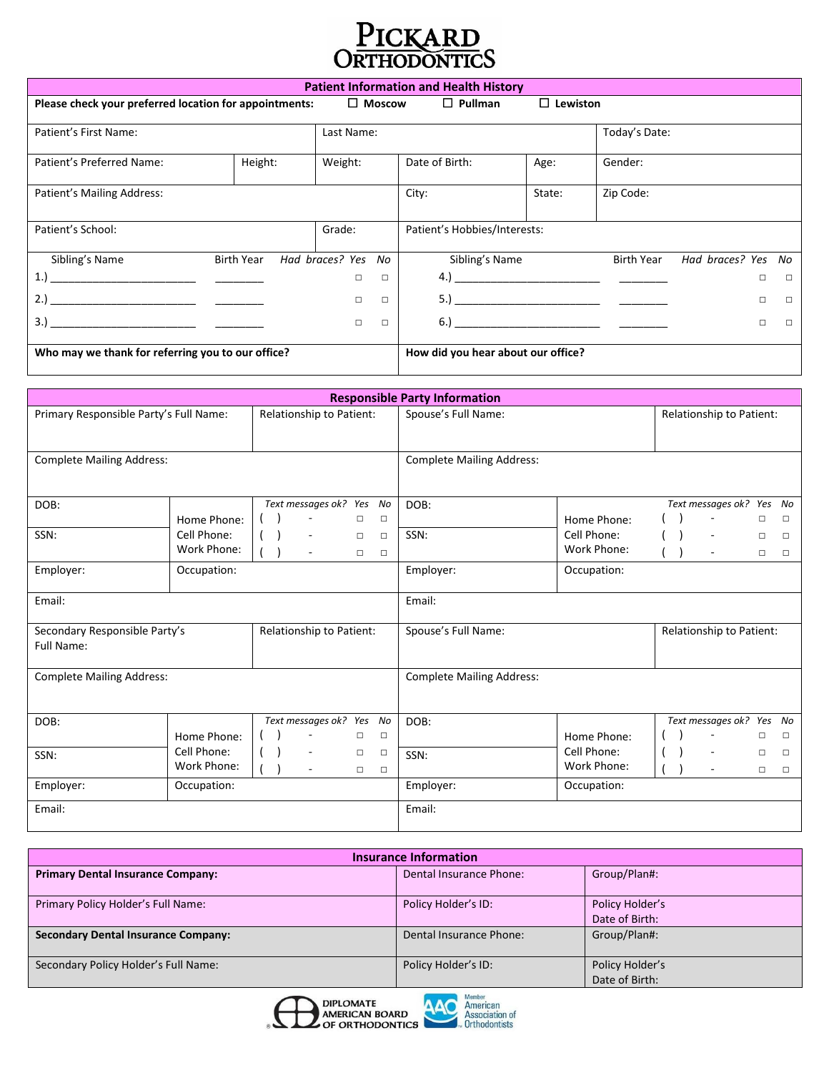

| <b>Patient Information and Health History</b>                                                                                                                                                                                                                                                                                                                                                                                       |            |                       |                |                                    |                 |               |                 |   |    |
|-------------------------------------------------------------------------------------------------------------------------------------------------------------------------------------------------------------------------------------------------------------------------------------------------------------------------------------------------------------------------------------------------------------------------------------|------------|-----------------------|----------------|------------------------------------|-----------------|---------------|-----------------|---|----|
| Please check your preferred location for appointments:                                                                                                                                                                                                                                                                                                                                                                              |            | $\Box$ Moscow         |                | $\Box$ Pullman                     | $\Box$ Lewiston |               |                 |   |    |
| Patient's First Name:                                                                                                                                                                                                                                                                                                                                                                                                               |            | Last Name:            |                |                                    |                 | Today's Date: |                 |   |    |
| Patient's Preferred Name:                                                                                                                                                                                                                                                                                                                                                                                                           | Height:    | Weight:               | Date of Birth: |                                    | Age:            | Gender:       |                 |   |    |
| Patient's Mailing Address:                                                                                                                                                                                                                                                                                                                                                                                                          |            |                       | City:          |                                    | State:          | Zip Code:     |                 |   |    |
| Patient's School:                                                                                                                                                                                                                                                                                                                                                                                                                   |            | Grade:                |                | Patient's Hobbies/Interests:       |                 |               |                 |   |    |
| Sibling's Name                                                                                                                                                                                                                                                                                                                                                                                                                      | Birth Year | Had braces? Yes<br>No |                | Sibling's Name                     |                 | Birth Year    | Had braces? Yes |   | No |
| $1.) \begin{tabular}{ l l l } \hline \multicolumn{1}{ l }{3} & \multicolumn{1}{ l }{5} & \multicolumn{1}{ l }{5} \\ \multicolumn{1}{ l }{5} & \multicolumn{1}{ l }{5} & \multicolumn{1}{ l }{5} \\ \multicolumn{1}{ l }{5} & \multicolumn{1}{ l }{5} & \multicolumn{1}{ l }{5} \\ \multicolumn{1}{ l }{5} & \multicolumn{1}{ l }{5} & \multicolumn{1}{ l }{5} \\ \multicolumn{1}{ l }{5} & \multicolumn{1}{ l }{5} & \multicolumn{$ |            | П<br>$\Box$           |                |                                    |                 |               |                 | П | п  |
|                                                                                                                                                                                                                                                                                                                                                                                                                                     |            | $\Box$<br>$\Box$      |                |                                    |                 |               |                 | п |    |
| 3.)                                                                                                                                                                                                                                                                                                                                                                                                                                 |            | П<br>$\Box$           |                |                                    |                 |               |                 | п | п  |
| Who may we thank for referring you to our office?                                                                                                                                                                                                                                                                                                                                                                                   |            |                       |                | How did you hear about our office? |                 |               |                 |   |    |

| <b>Responsible Party Information</b>                                           |                            |                                                                   |                                  |                            |                          |                                      |  |
|--------------------------------------------------------------------------------|----------------------------|-------------------------------------------------------------------|----------------------------------|----------------------------|--------------------------|--------------------------------------|--|
| Primary Responsible Party's Full Name:                                         |                            | Relationship to Patient:                                          | Spouse's Full Name:              |                            | Relationship to Patient: |                                      |  |
| <b>Complete Mailing Address:</b>                                               |                            |                                                                   | <b>Complete Mailing Address:</b> |                            |                          |                                      |  |
| DOB:                                                                           | Home Phone:                | Text messages ok? Yes<br>No<br>$\Box$<br>$\Box$                   | DOB:                             | Home Phone:                | Text messages ok? Yes No | $\Box$<br>□                          |  |
| SSN:                                                                           | Cell Phone:<br>Work Phone: | $\Box$<br>$\Box$<br>$\overline{a}$<br>$\Box$<br>$\sim$<br>$\Box$  | SSN:                             | Cell Phone:<br>Work Phone: | ٠                        | $\Box$<br>$\Box$<br>$\Box$<br>$\Box$ |  |
| Employer:                                                                      | Occupation:                |                                                                   | Employer:                        | Occupation:                |                          |                                      |  |
| Email:                                                                         |                            |                                                                   | Email:                           |                            |                          |                                      |  |
| Relationship to Patient:<br>Secondary Responsible Party's<br><b>Full Name:</b> |                            | Spouse's Full Name:<br>Relationship to Patient:                   |                                  |                            |                          |                                      |  |
| <b>Complete Mailing Address:</b>                                               |                            |                                                                   | <b>Complete Mailing Address:</b> |                            |                          |                                      |  |
| DOB:                                                                           | Home Phone:                | Text messages ok? Yes<br>No<br>$\Box$<br>$\Box$<br>$\overline{a}$ | DOB:                             | Home Phone:                | Text messages ok? Yes    | No<br>$\Box$<br>□                    |  |
| SSN:                                                                           | Cell Phone:<br>Work Phone: | $\Box$<br>$\Box$<br>$\overline{a}$<br>$\Box$<br>$\sim$<br>$\Box$  | SSN:                             | Cell Phone:<br>Work Phone: |                          | $\Box$<br>$\Box$<br>$\Box$<br>□      |  |
| Employer:                                                                      | Occupation:                |                                                                   | Employer:                        | Occupation:                |                          |                                      |  |
| Email:                                                                         |                            |                                                                   | Email:                           |                            |                          |                                      |  |

| Insurance Information                      |                         |                                   |  |  |  |  |  |
|--------------------------------------------|-------------------------|-----------------------------------|--|--|--|--|--|
| <b>Primary Dental Insurance Company:</b>   | Dental Insurance Phone: | Group/Plan#:                      |  |  |  |  |  |
| Primary Policy Holder's Full Name:         | Policy Holder's ID:     | Policy Holder's<br>Date of Birth: |  |  |  |  |  |
| <b>Secondary Dental Insurance Company:</b> | Dental Insurance Phone: | Group/Plan#:                      |  |  |  |  |  |
| Secondary Policy Holder's Full Name:       | Policy Holder's ID:     | Policy Holder's<br>Date of Birth: |  |  |  |  |  |



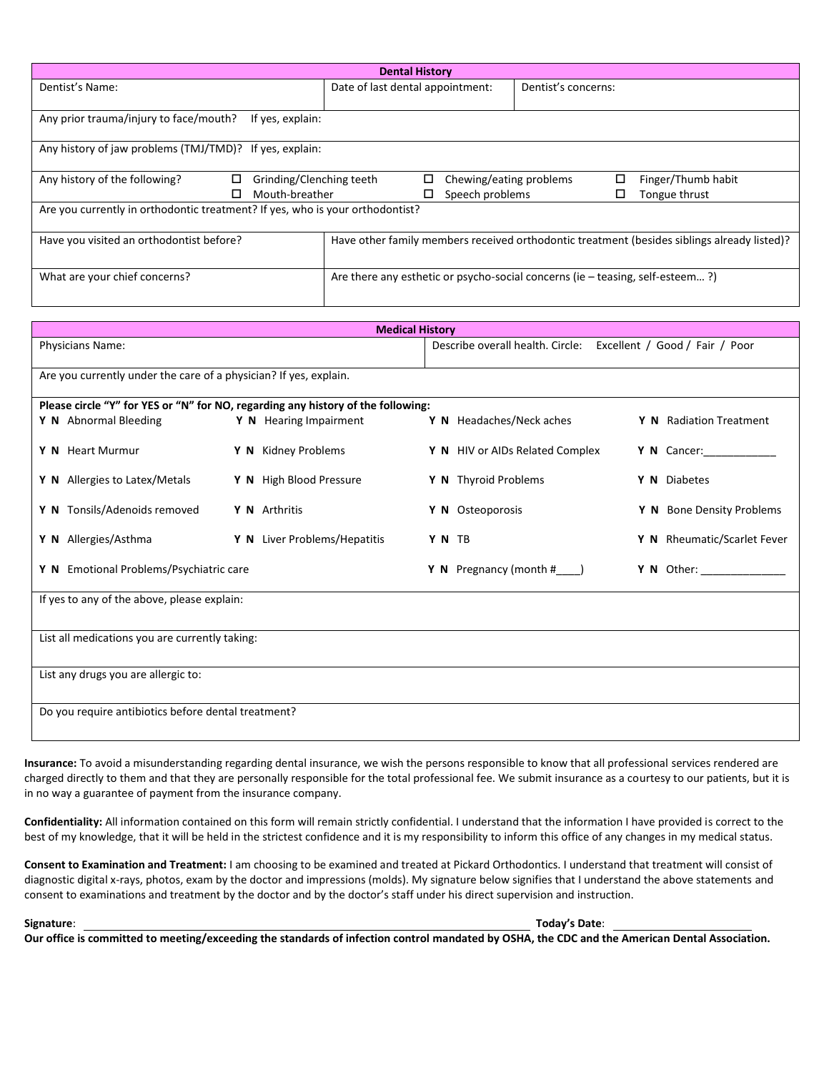| <b>Dental History</b>                                                         |                                                                                             |                                  |   |                         |                                                                                 |   |                    |
|-------------------------------------------------------------------------------|---------------------------------------------------------------------------------------------|----------------------------------|---|-------------------------|---------------------------------------------------------------------------------|---|--------------------|
| Dentist's Name:                                                               |                                                                                             | Date of last dental appointment: |   |                         | Dentist's concerns:                                                             |   |                    |
|                                                                               |                                                                                             |                                  |   |                         |                                                                                 |   |                    |
| Any prior trauma/injury to face/mouth?                                        | If yes, explain:                                                                            |                                  |   |                         |                                                                                 |   |                    |
| Any history of jaw problems (TMJ/TMD)? If yes, explain:                       |                                                                                             |                                  |   |                         |                                                                                 |   |                    |
| Any history of the following?<br>□                                            | Grinding/Clenching teeth                                                                    |                                  | □ | Chewing/eating problems |                                                                                 | □ | Finger/Thumb habit |
| ΙI                                                                            | Mouth-breather                                                                              |                                  | □ | Speech problems         |                                                                                 | □ | Tongue thrust      |
| Are you currently in orthodontic treatment? If yes, who is your orthodontist? |                                                                                             |                                  |   |                         |                                                                                 |   |                    |
| Have you visited an orthodontist before?                                      | Have other family members received orthodontic treatment (besides siblings already listed)? |                                  |   |                         |                                                                                 |   |                    |
| What are your chief concerns?                                                 |                                                                                             |                                  |   |                         | Are there any esthetic or psycho-social concerns (ie $-$ teasing, self-esteem?) |   |                    |

| <b>Medical History</b>                                            |                                                                                  |                                                                 |                             |  |  |  |  |
|-------------------------------------------------------------------|----------------------------------------------------------------------------------|-----------------------------------------------------------------|-----------------------------|--|--|--|--|
| <b>Physicians Name:</b>                                           |                                                                                  | Describe overall health. Circle: Excellent / Good / Fair / Poor |                             |  |  |  |  |
| Are you currently under the care of a physician? If yes, explain. |                                                                                  |                                                                 |                             |  |  |  |  |
|                                                                   | Please circle "Y" for YES or "N" for NO, regarding any history of the following: |                                                                 |                             |  |  |  |  |
| Y N Abnormal Bleeding                                             | Y N Hearing Impairment                                                           | Y N Headaches/Neck aches                                        | Y N Radiation Treatment     |  |  |  |  |
| Y N Heart Murmur                                                  | Y N Kidney Problems                                                              | Y N HIV or AIDs Related Complex                                 | <b>Y N</b> Cancer:          |  |  |  |  |
| Y N Allergies to Latex/Metals                                     | Y N High Blood Pressure                                                          | Y N Thyroid Problems                                            | Y N Diabetes                |  |  |  |  |
| Y N Tonsils/Adenoids removed                                      | Y N Arthritis                                                                    | Y N Osteoporosis                                                | Y N Bone Density Problems   |  |  |  |  |
| Y N Allergies/Asthma                                              | Y N Liver Problems/Hepatitis                                                     | Y N TB                                                          | Y N Rheumatic/Scarlet Fever |  |  |  |  |
| Y N Emotional Problems/Psychiatric care                           |                                                                                  | <b>Y</b> N Pregnancy (month $#$ _____)                          | <b>Y</b> N Other:           |  |  |  |  |
| If yes to any of the above, please explain:                       |                                                                                  |                                                                 |                             |  |  |  |  |
| List all medications you are currently taking:                    |                                                                                  |                                                                 |                             |  |  |  |  |
| List any drugs you are allergic to:                               |                                                                                  |                                                                 |                             |  |  |  |  |
| Do you require antibiotics before dental treatment?               |                                                                                  |                                                                 |                             |  |  |  |  |

**Insurance:** To avoid a misunderstanding regarding dental insurance, we wish the persons responsible to know that all professional services rendered are charged directly to them and that they are personally responsible for the total professional fee. We submit insurance as a courtesy to our patients, but it is in no way a guarantee of payment from the insurance company.

**Confidentiality:** All information contained on this form will remain strictly confidential. I understand that the information I have provided is correct to the best of my knowledge, that it will be held in the strictest confidence and it is my responsibility to inform this office of any changes in my medical status.

**Consent to Examination and Treatment:** I am choosing to be examined and treated at Pickard Orthodontics. I understand that treatment will consist of diagnostic digital x-rays, photos, exam by the doctor and impressions (molds). My signature below signifies that I understand the above statements and consent to examinations and treatment by the doctor and by the doctor's staff under his direct supervision and instruction.

**Signature**: **Today's Date**:

**Our office is committed to meeting/exceeding the standards of infection control mandated by OSHA, the CDC and the American Dental Association.**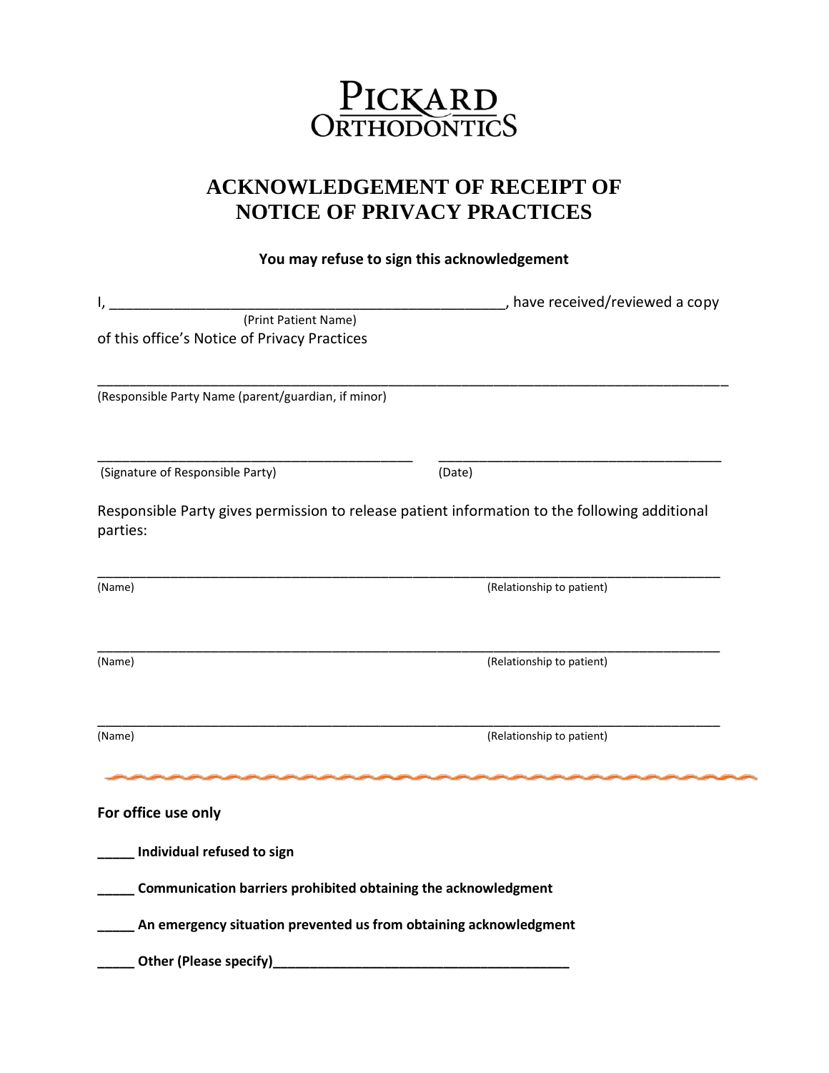

# **ACKNOWLEDGEMENT OF RECEIPT OF NOTICE OF PRIVACY PRACTICES**

# **You may refuse to sign this acknowledgement**

|                                                                      | , have received/reviewed a copy                                                               |
|----------------------------------------------------------------------|-----------------------------------------------------------------------------------------------|
| (Print Patient Name)<br>of this office's Notice of Privacy Practices |                                                                                               |
| (Responsible Party Name (parent/guardian, if minor)                  |                                                                                               |
| (Signature of Responsible Party)                                     | (Date)                                                                                        |
| parties:                                                             | Responsible Party gives permission to release patient information to the following additional |
| (Name)                                                               | (Relationship to patient)                                                                     |
| (Name)                                                               | (Relationship to patient)                                                                     |
| (Name)                                                               | (Relationship to patient)                                                                     |
| For office use only                                                  |                                                                                               |
| Individual refused to sign                                           |                                                                                               |
| Communication barriers prohibited obtaining the acknowledgment       |                                                                                               |
| An emergency situation prevented us from obtaining acknowledgment    |                                                                                               |
| <b>Other (Please specify)</b>                                        |                                                                                               |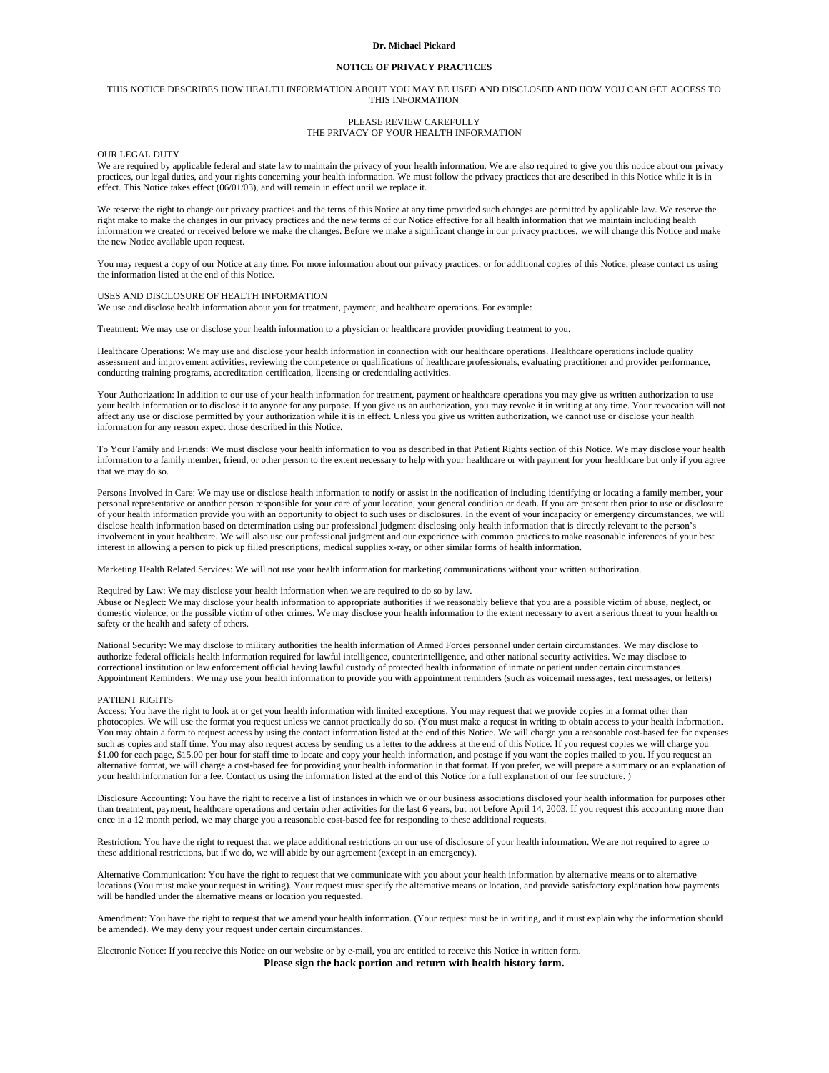### **Dr. Michael Pickard**

### **NOTICE OF PRIVACY PRACTICES**

### THIS NOTICE DESCRIBES HOW HEALTH INFORMATION ABOUT YOU MAY BE USED AND DISCLOSED AND HOW YOU CAN GET ACCESS TO THIS INFORMATION

### PLEASE REVIEW CAREFULLY THE PRIVACY OF YOUR HEALTH INFORMATION

OUR LEGAL DUTY

We are required by applicable federal and state law to maintain the privacy of your health information. We are also required to give you this notice about our privacy practices, our legal duties, and your rights concerning your health information. We must follow the privacy practices that are described in this Notice while it is in effect. This Notice takes effect (06/01/03), and will remain in effect until we replace it.

We reserve the right to change our privacy practices and the terns of this Notice at any time provided such changes are permitted by applicable law. We reserve the right make to make the changes in our privacy practices and the new terms of our Notice effective for all health information that we maintain including health information we created or received before we make the changes. Before we make a significant change in our privacy practices, we will change this Notice and make the new Notice available upon request.

You may request a copy of our Notice at any time. For more information about our privacy practices, or for additional copies of this Notice, please contact us using the information listed at the end of this Notice.

### USES AND DISCLOSURE OF HEALTH INFORMATION

We use and disclose health information about you for treatment, payment, and healthcare operations. For example:

Treatment: We may use or disclose your health information to a physician or healthcare provider providing treatment to you.

Healthcare Operations: We may use and disclose your health information in connection with our healthcare operations. Healthcare operations include quality assessment and improvement activities, reviewing the competence or qualifications of healthcare professionals, evaluating practitioner and provider performance, conducting training programs, accreditation certification, licensing or credentialing activities.

Your Authorization: In addition to our use of your health information for treatment, payment or healthcare operations you may give us written authorization to use your health information or to disclose it to anyone for any purpose. If you give us an authorization, you may revoke it in writing at any time. Your revocation will not affect any use or disclose permitted by your authorization while it is in effect. Unless you give us written authorization, we cannot use or disclose your health information for any reason expect those described in this Notice.

To Your Family and Friends: We must disclose your health information to you as described in that Patient Rights section of this Notice. We may disclose your health information to a family member, friend, or other person to the extent necessary to help with your healthcare or with payment for your healthcare but only if you agree that we may do so.

Persons Involved in Care: We may use or disclose health information to notify or assist in the notification of including identifying or locating a family member, your personal representative or another person responsible for your care of your location, your general condition or death. If you are present then prior to use or disclosure of your health information provide you with an opportunity to object to such uses or disclosures. In the event of your incapacity or emergency circumstances, we will disclose health information based on determination using our professional judgment disclosing only health information that is directly relevant to the person's involvement in your healthcare. We will also use our professional judgment and our experience with common practices to make reasonable inferences of your best interest in allowing a person to pick up filled prescriptions, medical supplies x-ray, or other similar forms of health information.

Marketing Health Related Services: We will not use your health information for marketing communications without your written authorization.

### Required by Law: We may disclose your health information when we are required to do so by law.

Abuse or Neglect: We may disclose your health information to appropriate authorities if we reasonably believe that you are a possible victim of abuse, neglect, or domestic violence, or the possible victim of other crimes. We may disclose your health information to the extent necessary to avert a serious threat to your health or safety or the health and safety of others.

National Security: We may disclose to military authorities the health information of Armed Forces personnel under certain circumstances. We may disclose to authorize federal officials health information required for lawful intelligence, counterintelligence, and other national security activities. We may disclose to correctional institution or law enforcement official having lawful custody of protected health information of inmate or patient under certain circumstances. Appointment Reminders: We may use your health information to provide you with appointment reminders (such as voicemail messages, text messages, or letters)

### PATIENT RIGHTS

Access: You have the right to look at or get your health information with limited exceptions. You may request that we provide copies in a format other than photocopies. We will use the format you request unless we cannot practically do so. (You must make a request in writing to obtain access to your health information. You may obtain a form to request access by using the contact information listed at the end of this Notice. We will charge you a reasonable cost-based fee for expenses such as copies and staff time. You may also request access by sending us a letter to the address at the end of this Notice. If you request copies we will charge you \$1.00 for each page, \$15.00 per hour for staff time to locate and copy your health information, and postage if you want the copies mailed to you. If you request an alternative format, we will charge a cost-based fee for providing your health information in that format. If you prefer, we will prepare a summary or an explanation of your health information for a fee. Contact us using the information listed at the end of this Notice for a full explanation of our fee structure. )

Disclosure Accounting: You have the right to receive a list of instances in which we or our business associations disclosed your health information for purposes other than treatment, payment, healthcare operations and certain other activities for the last 6 years, but not before April 14, 2003. If you request this accounting more than once in a 12 month period, we may charge you a reasonable cost-based fee for responding to these additional requests.

Restriction: You have the right to request that we place additional restrictions on our use of disclosure of your health information. We are not required to agree to these additional restrictions, but if we do, we will abide by our agreement (except in an emergency).

Alternative Communication: You have the right to request that we communicate with you about your health information by alternative means or to alternative locations (You must make your request in writing). Your request must specify the alternative means or location, and provide satisfactory explanation how payments will be handled under the alternative means or location you requested.

Amendment: You have the right to request that we amend your health information. (Your request must be in writing, and it must explain why the information should be amended). We may deny your request under certain circumstances.

Electronic Notice: If you receive this Notice on our website or by e-mail, you are entitled to receive this Notice in written form. **Please sign the back portion and return with health history form.**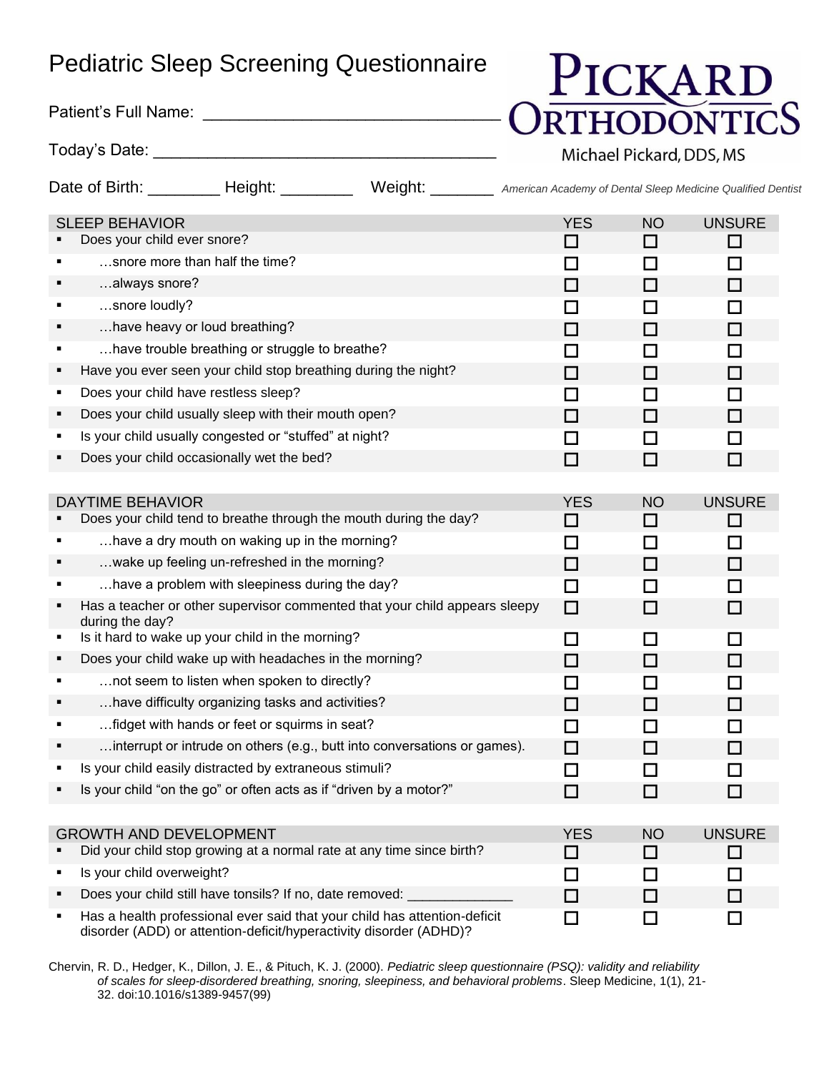# Pediatric Sleep Screening Questionnaire Patient's Full Name: \_\_\_\_\_\_\_\_\_\_\_\_\_\_\_\_\_\_\_\_\_\_\_\_\_\_\_\_\_\_\_\_\_

Today's Date: \_\_\_\_\_\_\_\_\_\_\_\_\_\_\_\_\_\_\_\_\_\_\_\_\_\_\_\_\_\_\_\_\_\_\_\_\_\_

| Date of Birth: | Heiaht: | Weight. | American Academy of Dental Sleep Medicine Qualified Dentist |
|----------------|---------|---------|-------------------------------------------------------------|

Michael Pickard, DDS, MS

|   | <b>SLEEP BEHAVIOR</b>                                                                                                                           | <b>YES</b> | <b>NO</b>                   | <b>UNSURE</b> |
|---|-------------------------------------------------------------------------------------------------------------------------------------------------|------------|-----------------------------|---------------|
|   | Does your child ever snore?                                                                                                                     | □          | □                           | □             |
|   | snore more than half the time?                                                                                                                  | □          | □                           |               |
|   | always snore?                                                                                                                                   | □          | □                           | □             |
|   | snore loudly?                                                                                                                                   | □          | $\Box$                      | П             |
|   | have heavy or loud breathing?                                                                                                                   | □          | □                           | □             |
|   | have trouble breathing or struggle to breathe?                                                                                                  | П          | П                           | П             |
| ٠ | Have you ever seen your child stop breathing during the night?                                                                                  | $\Box$     | □                           | □             |
| ٠ | Does your child have restless sleep?                                                                                                            | □          | $\Box$                      | П             |
| ٠ | Does your child usually sleep with their mouth open?                                                                                            | □          | □                           | П             |
|   | Is your child usually congested or "stuffed" at night?                                                                                          | $\Box$     | П                           | П             |
|   | Does your child occasionally wet the bed?                                                                                                       | □          | □                           | П             |
|   |                                                                                                                                                 |            |                             |               |
|   | <b>DAYTIME BEHAVIOR</b>                                                                                                                         | <b>YES</b> | <b>NO</b>                   | <b>UNSURE</b> |
|   | Does your child tend to breathe through the mouth during the day?                                                                               | П          | $\Box$                      | □             |
|   | have a dry mouth on waking up in the morning?                                                                                                   | □          | □                           | П             |
|   | wake up feeling un-refreshed in the morning?                                                                                                    | □          | $\Box$                      | П             |
|   | have a problem with sleepiness during the day?                                                                                                  | $\Box$     | □                           | П             |
| ٠ | Has a teacher or other supervisor commented that your child appears sleepy<br>during the day?                                                   | □          | П                           | ΙI            |
| ٠ | Is it hard to wake up your child in the morning?                                                                                                | □          | □                           | П             |
| ٠ | Does your child wake up with headaches in the morning?                                                                                          | □          | П                           | П             |
|   | not seem to listen when spoken to directly?                                                                                                     | П          | $\mathcal{L}_{\mathcal{A}}$ | $\Box$        |
|   | have difficulty organizing tasks and activities?                                                                                                | □          | $\Box$                      | П             |
|   | fidget with hands or feet or squirms in seat?                                                                                                   | П          | П                           | П             |
|   | interrupt or intrude on others (e.g., butt into conversations or games).                                                                        | $\Box$     | П                           | П             |
| ٠ | Is your child easily distracted by extraneous stimuli?                                                                                          | П          | H                           | l I           |
|   | Is your child "on the go" or often acts as if "driven by a motor?"                                                                              | □          | $\Box$                      | □             |
|   | <b>GROWTH AND DEVELOPMENT</b>                                                                                                                   | <b>YES</b> | <b>NO</b>                   | <b>UNSURE</b> |
|   | Did your child stop growing at a normal rate at any time since birth?                                                                           | □          | П                           | П             |
| ٠ | Is your child overweight?                                                                                                                       | □          | $\Box$                      |               |
|   | Does your child still have tonsils? If no, date removed:                                                                                        | □          | □                           | ΙI            |
|   | Has a health professional ever said that your child has attention-deficit<br>disorder (ADD) or attention-deficit/hyperactivity disorder (ADHD)? | H          | ΙI                          |               |

Chervin, R. D., Hedger, K., Dillon, J. E., & Pituch, K. J. (2000). *Pediatric sleep questionnaire (PSQ): validity and reliability of scales for sleep-disordered breathing, snoring, sleepiness, and behavioral problems*. Sleep Medicine, 1(1), 21- 32. doi:10.1016/s1389-9457(99)